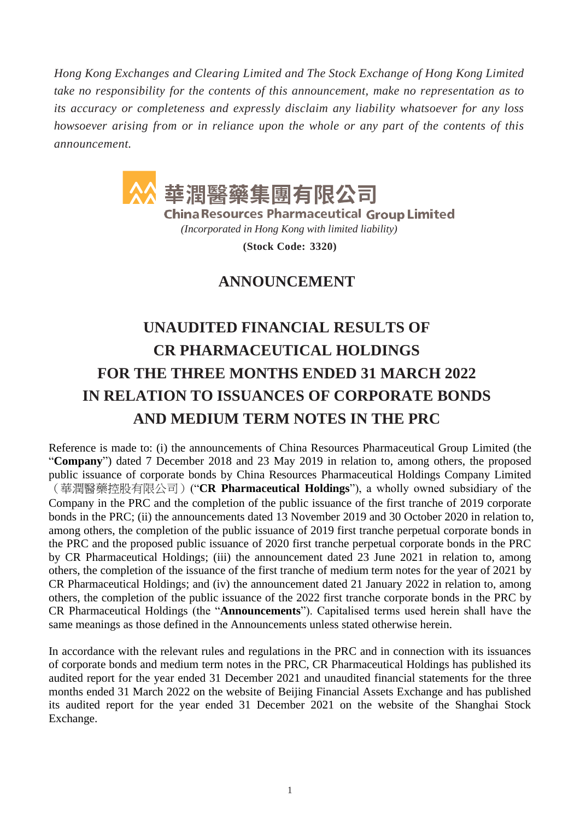*Hong Kong Exchanges and Clearing Limited and The Stock Exchange of Hong Kong Limited take no responsibility for the contents of this announcement, make no representation as to its accuracy or completeness and expressly disclaim any liability whatsoever for any loss howsoever arising from or in reliance upon the whole or any part of the contents of this announcement.*



**China Resources Pharmaceutical Group Limited** 

*(Incorporated in Hong Kong with limited liability)*

**(Stock Code: 3320)**

## **ANNOUNCEMENT**

# **UNAUDITED FINANCIAL RESULTS OF CR PHARMACEUTICAL HOLDINGS FOR THE THREE MONTHS ENDED 31 MARCH 2022 IN RELATION TO ISSUANCES OF CORPORATE BONDS AND MEDIUM TERM NOTES IN THE PRC**

Reference is made to: (i) the announcements of China Resources Pharmaceutical Group Limited (the "**Company**") dated 7 December 2018 and 23 May 2019 in relation to, among others, the proposed public issuance of corporate bonds by China Resources Pharmaceutical Holdings Company Limited (華潤醫藥控股有限公司)("**CR Pharmaceutical Holdings**"), a wholly owned subsidiary of the Company in the PRC and the completion of the public issuance of the first tranche of 2019 corporate bonds in the PRC; (ii) the announcements dated 13 November 2019 and 30 October 2020 in relation to, among others, the completion of the public issuance of 2019 first tranche perpetual corporate bonds in the PRC and the proposed public issuance of 2020 first tranche perpetual corporate bonds in the PRC by CR Pharmaceutical Holdings; (iii) the announcement dated 23 June 2021 in relation to, among others, the completion of the issuance of the first tranche of medium term notes for the year of 2021 by CR Pharmaceutical Holdings; and (iv) the announcement dated 21 January 2022 in relation to, among others, the completion of the public issuance of the 2022 first tranche corporate bonds in the PRC by CR Pharmaceutical Holdings (the "**Announcements**"). Capitalised terms used herein shall have the same meanings as those defined in the Announcements unless stated otherwise herein.

In accordance with the relevant rules and regulations in the PRC and in connection with its issuances of corporate bonds and medium term notes in the PRC, CR Pharmaceutical Holdings has published its audited report for the year ended 31 December 2021 and unaudited financial statements for the three months ended 31 March 2022 on the website of Beijing Financial Assets Exchange and has published its audited report for the year ended 31 December 2021 on the website of the Shanghai Stock Exchange.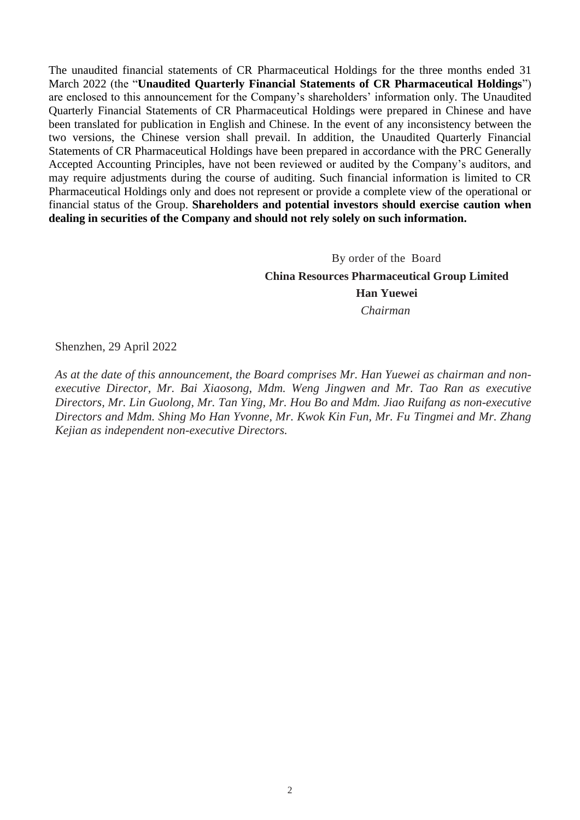The unaudited financial statements of CR Pharmaceutical Holdings for the three months ended 31 March 2022 (the "**Unaudited Quarterly Financial Statements of CR Pharmaceutical Holdings**") are enclosed to this announcement for the Company's shareholders' information only. The Unaudited Quarterly Financial Statements of CR Pharmaceutical Holdings were prepared in Chinese and have been translated for publication in English and Chinese. In the event of any inconsistency between the two versions, the Chinese version shall prevail. In addition, the Unaudited Quarterly Financial Statements of CR Pharmaceutical Holdings have been prepared in accordance with the PRC Generally Accepted Accounting Principles, have not been reviewed or audited by the Company's auditors, and may require adjustments during the course of auditing. Such financial information is limited to CR Pharmaceutical Holdings only and does not represent or provide a complete view of the operational or financial status of the Group. **Shareholders and potential investors should exercise caution when dealing in securities of the Company and should not rely solely on such information.**

> By order of the Board **China Resources Pharmaceutical Group Limited Han Yuewei** *Chairman*

Shenzhen, 29 April 2022

*As at the date of this announcement, the Board comprises Mr. Han Yuewei as chairman and nonexecutive Director, Mr. Bai Xiaosong, Mdm. Weng Jingwen and Mr. Tao Ran as executive Directors, Mr. Lin Guolong, Mr. Tan Ying, Mr. Hou Bo and Mdm. Jiao Ruifang as non-executive Directors and Mdm. Shing Mo Han Yvonne, Mr. Kwok Kin Fun, Mr. Fu Tingmei and Mr. Zhang Kejian as independent non-executive Directors.*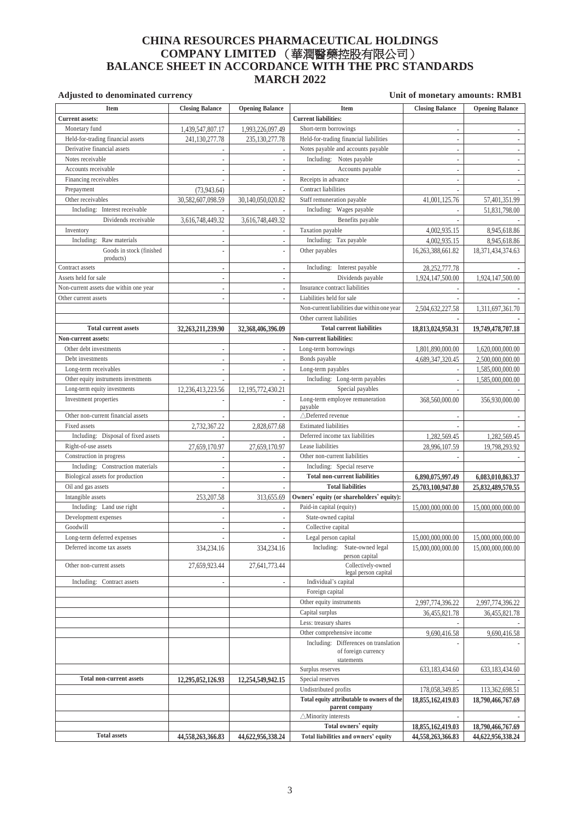## **CHINA RESOURCES PHARMACEUTICAL HOLDINGS COMPANY LIMITED** (華潤醫藥控股有限公司) **BALANCE SHEET IN ACCORDANCE WITH THE PRC STANDARDS MARCH 2022**

| <b>Item</b>                            | <b>Closing Balance</b>   | <b>Opening Balance</b>   | <b>Item</b>                                                                | <b>Closing Balance</b>   | <b>Opening Balance</b>                 |
|----------------------------------------|--------------------------|--------------------------|----------------------------------------------------------------------------|--------------------------|----------------------------------------|
| <b>Current assets:</b>                 |                          |                          | <b>Current liabilities:</b>                                                |                          |                                        |
| Monetary fund                          | 1,439,547,807.17         | 1,993,226,097.49         | Short-term borrowings                                                      |                          |                                        |
| Held-for-trading financial assets      | 241,130,277.78           | 235,130,277.78           | Held-for-trading financial liabilities                                     | ÷,                       |                                        |
| Derivative financial assets            |                          | $\overline{\phantom{a}}$ | Notes payable and accounts payable                                         | $\overline{\phantom{a}}$ |                                        |
| Notes receivable                       |                          | ÷,                       | Including: Notes payable                                                   | $\overline{\phantom{a}}$ |                                        |
| Accounts receivable                    |                          | $\overline{a}$           | Accounts payable                                                           |                          |                                        |
| Financing receivables                  |                          | ÷,                       | Receipts in advance                                                        | $\overline{\phantom{a}}$ |                                        |
| Prepayment                             | (73,943.64)              |                          | Contract liabilities                                                       |                          |                                        |
| Other receivables                      | 30,582,607,098.59        | 30,140,050,020.82        | Staff remuneration payable                                                 | 41,001,125.76            | 57,401,351.99                          |
| Including: Interest receivable         |                          |                          | Including: Wages payable                                                   |                          | 51,831,798.00                          |
| Dividends receivable                   | 3,616,748,449.32         | 3,616,748,449.32         | Benefits payable                                                           |                          |                                        |
| Inventory                              |                          |                          | Taxation payable                                                           | 4,002,935.15             | 8,945,618.86                           |
| Including: Raw materials               | $\sim$                   | ä,                       | Including: Tax payable                                                     | 4,002,935.15             | 8,945,618.86                           |
| Goods in stock (finished<br>products)  | $\overline{a}$           | $\overline{a}$           | Other payables                                                             | 16,263,388,661.82        | 18,371,434,374.63                      |
| Contract assets                        | ä,                       | ÷,                       | Interest payable<br>Including:                                             | 28, 252, 777. 78         |                                        |
| Assets held for sale                   | ä,                       | ÷,                       | Dividends payable                                                          | 1,924,147,500.00         | 1,924,147,500.00                       |
| Non-current assets due within one year | $\sim$                   | ä,                       | Insurance contract liabilities                                             |                          |                                        |
| Other current assets                   | ÷,                       |                          | Liabilities held for sale                                                  |                          |                                        |
|                                        |                          |                          | Non-current liabilities due within one year                                | 2,504,632,227.58         | 1,311,697,361.70                       |
|                                        |                          |                          | Other current liabilities                                                  |                          |                                        |
| <b>Total current assets</b>            | 32,263,211,239.90        | 32,368,406,396.09        | <b>Total current liabilities</b>                                           | 18,813,024,950.31        | 19,749,478,707.18                      |
| <b>Non-current assets:</b>             |                          |                          | Non-current liabilities:                                                   |                          |                                        |
| Other debt investments                 | ä,                       | $\overline{\phantom{a}}$ | Long-term borrowings                                                       | 1,801,890,000.00         | 1,620,000,000.00                       |
| Debt investments                       | ä,                       | $\overline{\phantom{a}}$ | Bonds payable                                                              | 4,689,347,320.45         | 2,500,000,000.00                       |
| Long-term receivables                  | $\overline{\phantom{a}}$ | ä,                       | Long-term payables                                                         |                          | 1,585,000,000.00                       |
| Other equity instruments investments   |                          |                          | Including: Long-term payables                                              |                          | 1,585,000,000.00                       |
| Long-term equity investments           | 12,236,413,223.56        | 12, 195, 772, 430. 21    | Special payables                                                           |                          |                                        |
| Investment properties                  |                          |                          | Long-term employee remuneration<br>payable                                 | 368,560,000.00           | 356,930,000.00                         |
| Other non-current financial assets     |                          | ÷,                       | △Deferred revenue                                                          |                          |                                        |
| Fixed assets                           | 2,732,367.22             | 2,828,677.68             | <b>Estimated liabilities</b>                                               |                          |                                        |
| Including: Disposal of fixed assets    |                          |                          | Deferred income tax liabilities                                            | 1,282,569.45             | 1,282,569.45                           |
| Right-of-use assets                    | 27,659,170.97            | 27,659,170.97            | Lease liabilities                                                          | 28,996,107.59            | 19,798,293.92                          |
| Construction in progress               |                          |                          | Other non-current liabilities                                              |                          |                                        |
| Including: Construction materials      | ä,                       | L.                       | Including: Special reserve                                                 |                          |                                        |
| Biological assets for production       | $\sim$                   | ä,                       | <b>Total non-current liabilities</b>                                       | 6,890,075,997.49         | 6,083,010,863.37                       |
| Oil and gas assets                     |                          |                          | <b>Total liabilities</b><br>Owners' equity (or shareholders' equity):      | 25,703,100,947.80        | 25,832,489,570.55                      |
| Intangible assets                      | 253, 207.58              | 313,655.69               |                                                                            |                          |                                        |
| Including: Land use right              | $\sim$                   | $\sim$                   | Paid-in capital (equity)                                                   | 15,000,000,000.00        | 15,000,000,000.00                      |
| Development expenses<br>Goodwill       | ä,                       | ä,                       | State-owned capital<br>Collective capital                                  |                          |                                        |
| Long-term deferred expenses            | ä,                       | L.                       | Legal person capital                                                       |                          |                                        |
| Deferred income tax assets             |                          |                          | Including: State-owned legal                                               | 15,000,000,000.00        | 15,000,000,000.00<br>15,000,000,000.00 |
|                                        | 334,234.16               | 334,234.16               | person capital                                                             | 15,000,000,000.00        |                                        |
| Other non-current assets               | 27,659,923.44            | 27,641,773.44            | Collectively-owned<br>legal person capital                                 |                          |                                        |
| Including: Contract assets             | $\overline{\phantom{a}}$ | ÷,                       | Individual's capital                                                       |                          |                                        |
|                                        |                          |                          | Foreign capital                                                            |                          |                                        |
|                                        |                          |                          | Other equity instruments                                                   | 2,997,774,396.22         | 2,997,774,396.22                       |
|                                        |                          |                          | Capital surplus                                                            | 36,455,821.78            | 36,455,821.78                          |
|                                        |                          |                          | Less: treasury shares                                                      |                          |                                        |
|                                        |                          |                          | Other comprehensive income                                                 | 9,690,416.58             | 9,690,416.58                           |
|                                        |                          |                          | Including: Differences on translation<br>of foreign currency<br>statements |                          |                                        |
|                                        |                          |                          | Surplus reserves                                                           | 633,183,434.60           | 633,183,434.60                         |
| <b>Total non-current assets</b>        | 12,295,052,126.93        | 12,254,549,942.15        | Special reserves                                                           |                          |                                        |
|                                        |                          |                          | Undistributed profits                                                      | 178,058,349.85           | 113,362,698.51                         |
|                                        |                          |                          | Total equity attributable to owners of the<br>parent company               | 18,855,162,419.03        | 18,790,466,767.69                      |
|                                        |                          |                          | $\triangle$ Minority interests                                             | ٠                        |                                        |
|                                        |                          |                          | Total owners' equity                                                       | 18,855,162,419.03        | 18,790,466,767.69                      |
| <b>Total assets</b>                    | 44,558,263,366.83        | 44,622,956,338.24        | Total liabilities and owners' equity                                       | 44,558,263,366.83        | 44,622,956,338.24                      |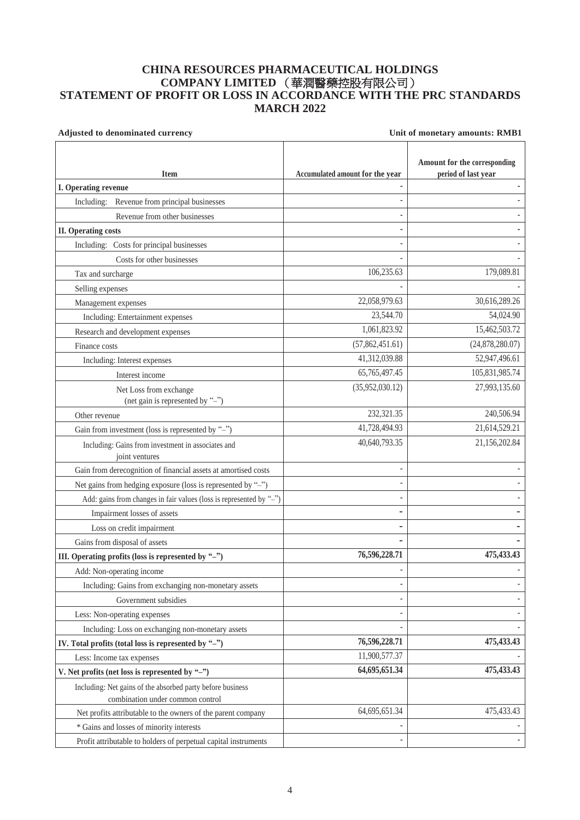## **CHINA RESOURCES PHARMACEUTICAL HOLDINGS COMPANY LIMITED** (華潤醫藥控股有限公司) **STATEMENT OF PROFIT OR LOSS IN ACCORDANCE WITH THE PRC STANDARDS MARCH 2022**

| Adjusted to denominated currency                                                               | Unit of monetary amounts: RMB1  |                                                     |  |
|------------------------------------------------------------------------------------------------|---------------------------------|-----------------------------------------------------|--|
| <b>Item</b>                                                                                    | Accumulated amount for the year | Amount for the corresponding<br>period of last year |  |
| I. Operating revenue                                                                           |                                 |                                                     |  |
| Including: Revenue from principal businesses                                                   |                                 |                                                     |  |
| Revenue from other businesses                                                                  |                                 |                                                     |  |
| <b>II.</b> Operating costs                                                                     |                                 |                                                     |  |
| Including: Costs for principal businesses                                                      |                                 |                                                     |  |
| Costs for other businesses                                                                     |                                 |                                                     |  |
| Tax and surcharge                                                                              | 106,235.63                      | 179,089.81                                          |  |
| Selling expenses                                                                               |                                 |                                                     |  |
| Management expenses                                                                            | 22,058,979.63                   | 30,616,289.26                                       |  |
| Including: Entertainment expenses                                                              | 23,544.70                       | 54,024.90                                           |  |
| Research and development expenses                                                              | 1,061,823.92                    | 15,462,503.72                                       |  |
| Finance costs                                                                                  | (57,862,451.61)                 | (24,878,280.07)                                     |  |
| Including: Interest expenses                                                                   | 41,312,039.88                   | 52,947,496.61                                       |  |
| Interest income                                                                                | 65,765,497.45                   | 105,831,985.74                                      |  |
| Net Loss from exchange<br>(net gain is represented by "-")                                     | (35,952,030.12)                 | 27,993,135.60                                       |  |
| Other revenue                                                                                  | 232,321.35                      | 240,506.94                                          |  |
| Gain from investment (loss is represented by "-")                                              | 41,728,494.93                   | 21,614,529.21                                       |  |
| Including: Gains from investment in associates and<br>joint ventures                           | 40,640,793.35                   | 21,156,202.84                                       |  |
| Gain from derecognition of financial assets at amortised costs                                 |                                 |                                                     |  |
| Net gains from hedging exposure (loss is represented by "-")                                   |                                 |                                                     |  |
| Add: gains from changes in fair values (loss is represented by "-")                            |                                 |                                                     |  |
| Impairment losses of assets                                                                    |                                 |                                                     |  |
| Loss on credit impairment                                                                      |                                 |                                                     |  |
| Gains from disposal of assets                                                                  |                                 |                                                     |  |
| III. Operating profits (loss is represented by "-")                                            | 76,596,228.71                   | 475, 433. 43                                        |  |
| Add: Non-operating income                                                                      |                                 | ÷                                                   |  |
| Including: Gains from exchanging non-monetary assets                                           |                                 | $\overline{\phantom{0}}$                            |  |
| Government subsidies                                                                           |                                 |                                                     |  |
| Less: Non-operating expenses                                                                   |                                 |                                                     |  |
| Including: Loss on exchanging non-monetary assets                                              |                                 |                                                     |  |
| IV. Total profits (total loss is represented by "-")                                           | 76,596,228.71                   | 475, 433. 43                                        |  |
| Less: Income tax expenses                                                                      | 11,900,577.37                   |                                                     |  |
| V. Net profits (net loss is represented by "-")                                                | 64,695,651.34                   | 475, 433. 43                                        |  |
| Including: Net gains of the absorbed party before business<br>combination under common control |                                 |                                                     |  |
| Net profits attributable to the owners of the parent company                                   | 64,695,651.34                   | 475,433.43                                          |  |
| * Gains and losses of minority interests                                                       |                                 |                                                     |  |
| Profit attributable to holders of perpetual capital instruments                                |                                 |                                                     |  |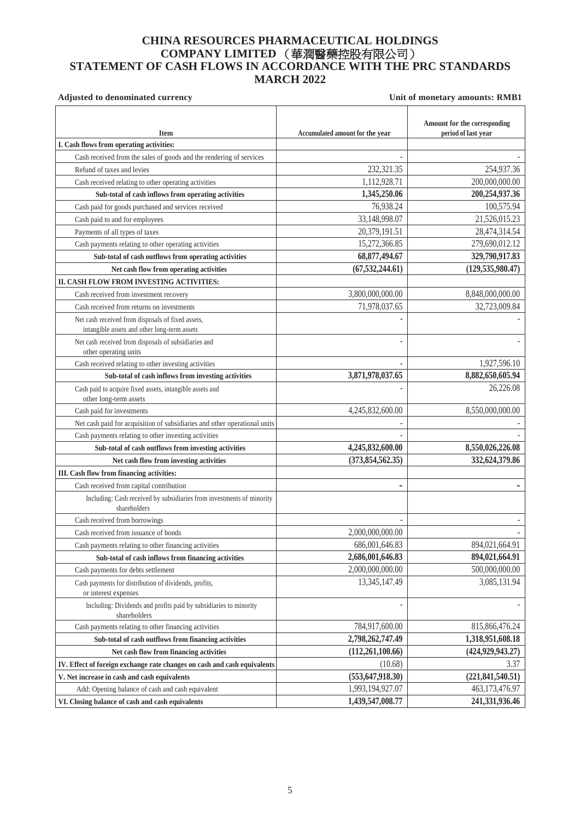## **CHINA RESOURCES PHARMACEUTICAL HOLDINGS COMPANY LIMITED** (華潤醫藥控股有限公司) **STATEMENT OF CASH FLOWS IN ACCORDANCE WITH THE PRC STANDARDS MARCH 2022**

|                                                                                                   |                                 | Amount for the corresponding |
|---------------------------------------------------------------------------------------------------|---------------------------------|------------------------------|
| <b>Item</b>                                                                                       | Accumulated amount for the year | period of last year          |
| I. Cash flows from operating activities:                                                          |                                 |                              |
| Cash received from the sales of goods and the rendering of services                               |                                 |                              |
| Refund of taxes and levies                                                                        | 232,321.35                      | 254,937.36                   |
| Cash received relating to other operating activities                                              | 1,112,928.71                    | 200,000,000.00               |
| Sub-total of cash inflows from operating activities                                               | 1,345,250.06                    | 200,254,937.36               |
| Cash paid for goods purchased and services received                                               | 76,938.24                       | 100,575.94                   |
| Cash paid to and for employees                                                                    | 33,148,998.07                   | 21,526,015.23                |
| Payments of all types of taxes                                                                    | 20,379,191.51                   | 28,474,314.54                |
| Cash payments relating to other operating activities                                              | 15,272,366.85                   | 279,690,012.12               |
| Sub-total of cash outflows from operating activities                                              | 68, 877, 494. 67                | 329,790,917.83               |
| Net cash flow from operating activities                                                           | (67, 532, 244.61)               | (129, 535, 980.47)           |
| II. CASH FLOW FROM INVESTING ACTIVITIES:                                                          |                                 |                              |
| Cash received from investment recovery                                                            | 3,800,000,000.00                | 8,848,000,000.00             |
| Cash received from returns on investments                                                         | 71,978,037.65                   | 32,723,009.84                |
| Net cash received from disposals of fixed assets,<br>intangible assets and other long-term assets |                                 |                              |
| Net cash received from disposals of subsidiaries and<br>other operating units                     |                                 |                              |
| Cash received relating to other investing activities                                              |                                 | 1,927,596.10                 |
| Sub-total of cash inflows from investing activities                                               | 3,871,978,037.65                | 8,882,650,605.94             |
| Cash paid to acquire fixed assets, intangible assets and<br>other long-term assets                |                                 | 26,226.08                    |
| Cash paid for investments                                                                         | 4,245,832,600.00                | 8,550,000,000.00             |
| Net cash paid for acquisition of subsidiaries and other operational units                         |                                 |                              |
| Cash payments relating to other investing activities                                              |                                 |                              |
| Sub-total of cash outflows from investing activities                                              | 4,245,832,600.00                | 8,550,026,226.08             |
| Net cash flow from investing activities                                                           | (373, 854, 562.35)              | 332,624,379.86               |
| III. Cash flow from financing activities:                                                         |                                 |                              |
| Cash received from capital contribution                                                           |                                 |                              |
| Including: Cash received by subsidiaries from investments of minority<br>shareholders             |                                 |                              |
| Cash received from borrowings                                                                     |                                 |                              |
| Cash received from issuance of bonds                                                              | 2,000,000,000.00                |                              |
| Cash payments relating to other financing activities                                              | 686,001,646.83                  | 894,021,664.91               |
| Sub-total of cash inflows from financing activities                                               | 2,686,001,646.83                | 894,021,664.91               |
| Cash payments for debts settlement                                                                | 2,000,000,000.00                | 500,000,000.00               |
| Cash payments for distribution of dividends, profits,<br>or interest expenses                     | 13,345,147.49                   | 3,085,131.94                 |
| Including: Dividends and profits paid by subsidiaries to minority<br>shareholders                 |                                 |                              |
| Cash payments relating to other financing activities                                              | 784,917,600.00                  | 815,866,476.24               |
| Sub-total of cash outflows from financing activities                                              | 2,798,262,747.49                | 1,318,951,608.18             |
| Net cash flow from financing activities                                                           | (112, 261, 100.66)              | (424, 929, 943.27)           |
| IV. Effect of foreign exchange rate changes on cash and cash equivalents                          | (10.68)                         | 3.37                         |
| V. Net increase in cash and cash equivalents                                                      | (553, 647, 918.30)              | (221, 841, 540.51)           |
| Add: Opening balance of cash and cash equivalent                                                  | 1,993,194,927.07                | 463,173,476.97               |
| VI. Closing balance of cash and cash equivalents                                                  | 1,439,547,008.77                | 241,331,936.46               |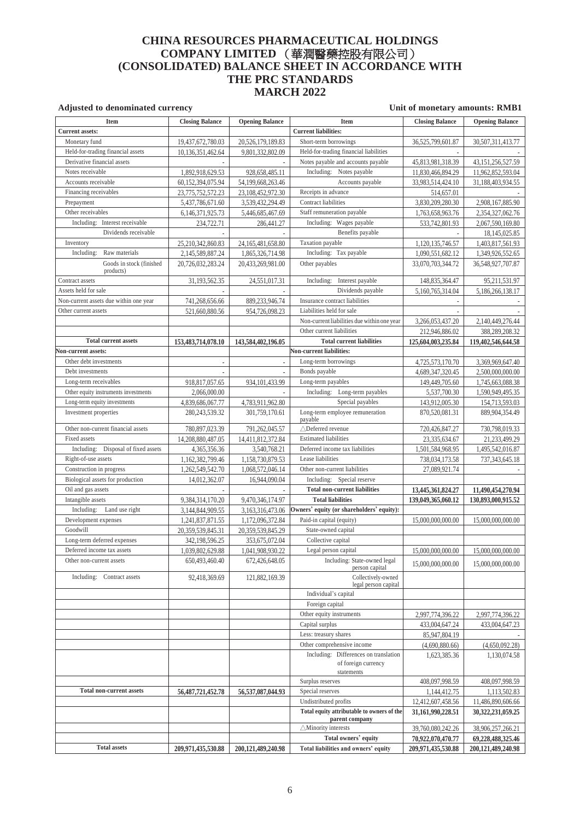## **CHINA RESOURCES PHARMACEUTICAL HOLDINGS COMPANY LIMITED** (華潤醫藥控股有限公司) **(CONSOLIDATED) BALANCE SHEET IN ACCORDANCE WITH THE PRC STANDARDS MARCH 2022**

| <b>Item</b>                            | <b>Closing Balance</b>                | <b>Opening Balance</b>   | <b>Item</b>                                 | <b>Closing Balance</b>                 | <b>Opening Balance</b> |
|----------------------------------------|---------------------------------------|--------------------------|---------------------------------------------|----------------------------------------|------------------------|
| <b>Current assets:</b>                 |                                       |                          | <b>Current liabilities:</b>                 |                                        |                        |
| Monetary fund                          | 19,437,672,780.03                     | 20,526,179,189.83        | Short-term borrowings                       | 36,525,799,601.87                      | 30,507,311,413.77      |
| Held-for-trading financial assets      | 10,136,351,462.64                     | 9,801,332,802.09         | Held-for-trading financial liabilities      |                                        |                        |
| Derivative financial assets            |                                       |                          | Notes payable and accounts payable          | 45,813,981,318.39                      | 43,151,256,527.59      |
| Notes receivable                       | 1,892,918,629.53                      | 928,658,485.11           | Including: Notes payable                    | 11,830,466,894.29                      | 11,962,852,593.04      |
| Accounts receivable                    | 60,152,394,075.94                     | 54, 199, 668, 263. 46    | Accounts payable                            | 33,983,514,424.10                      | 31,188,403,934.55      |
| Financing receivables                  | 23,775,752,572.23                     | 23, 108, 452, 972. 30    | Receipts in advance                         | 514,657.01                             |                        |
| Prepayment                             | 5,437,786,671.60                      | 3,539,432,294.49         | Contract liabilities                        | 3,830,209,280.30                       | 2,908,167,885.90       |
| Other receivables                      | 6,146,371,925.73                      | 5,446,685,467.69         | Staff remuneration payable                  | 1,763,658,963.76                       | 2,354,327,062.76       |
| Including: Interest receivable         | 234,722.71                            | 286,441.27               | Including: Wages payable                    | 533,742,801.93                         | 2,067,590,169.80       |
| Dividends receivable                   |                                       |                          | Benefits payable                            |                                        | 18, 145, 025. 85       |
| Inventory                              | 25,210,342,860.83                     | 24, 165, 481, 658.80     | Taxation payable                            | 1,120,135,746.57                       | 1,403,817,561.93       |
| Raw materials<br>Including:            | 2,145,589,887.24                      | 1,865,326,714.98         | Including: Tax payable                      | 1,090,551,682.12                       | 1,349,926,552.65       |
| Goods in stock (finished               | 20,726,032,283.24                     | 20,433,269,981.00        | Other payables                              | 33,070,703,344.72                      | 36,548,927,707.87      |
| products)                              |                                       |                          |                                             |                                        |                        |
| Contract assets                        | 31,193,562.35                         | 24,551,017.31            | Including: Interest payable                 | 148,835,364.47                         | 95,211,531.97          |
| Assets held for sale                   |                                       |                          | Dividends payable                           | 5,160,765,314.04                       | 5,186,266,138.17       |
| Non-current assets due within one year | 741,268,656.66                        | 889,233,946.74           | Insurance contract liabilities              |                                        |                        |
| Other current assets                   | 521,660,880.56                        | 954,726,098.23           | Liabilities held for sale                   |                                        |                        |
|                                        |                                       |                          | Non-current liabilities due within one year | 3,266,053,437.20                       | 2,140,449,276.44       |
|                                        |                                       |                          | Other current liabilities                   | 212,946,886.02                         | 388,289,208.32         |
| <b>Total current assets</b>            | 153,483,714,078.10                    | 143,584,402,196.05       | <b>Total current liabilities</b>            | 125,604,003,235.84                     | 119,402,546,644.58     |
| Non-current assets:                    |                                       |                          | Non-current liabilities:                    |                                        |                        |
| Other debt investments                 |                                       | $\overline{\phantom{a}}$ | Long-term borrowings                        | 4,725,573,170.70                       | 3,369,969,647.40       |
| Debt investments                       |                                       |                          | Bonds payable                               | 4,689,347,320.45                       | 2,500,000,000.00       |
| Long-term receivables                  | 918,817,057.65                        | 934.101.433.99           | Long-term payables                          | 149,449,705.60                         | 1,745,663,088.38       |
| Other equity instruments investments   | 2,066,000.00                          |                          | Including: Long-term payables               | 5,537,700.30                           | 1,590,949,495.35       |
| Long-term equity investments           |                                       | 4,783,911,962.80         | Special payables                            |                                        |                        |
| Investment properties                  | 4,839,686,067.77<br>280, 243, 539. 32 | 301,759,170.61           | Long-term employee remuneration             | 143,912,005.30<br>870,520,081.31       | 154,713,593.03         |
|                                        |                                       |                          | payable                                     |                                        | 889,904,354.49         |
| Other non-current financial assets     | 780,897,023.39                        | 791,262,045.57           | △Deferred revenue                           | 720,426,847.27                         | 730,798,019.33         |
| Fixed assets                           | 14,208,880,487.05                     | 14,411,812,372.84        | <b>Estimated liabilities</b>                | 23,335,634.67                          | 21,233,499.29          |
| Including: Disposal of fixed assets    | 4,365,356.36                          | 3,540,768.21             | Deferred income tax liabilities             | 1,501,584,968.95                       | 1,495,542,016.87       |
| Right-of-use assets                    | 1,162,382,799.46                      | 1,158,730,879.53         | Lease liabilities                           | 738,034,173.58                         | 737,343,645.18         |
| Construction in progress               | 1,262,549,542.70                      | 1,068,572,046.14         | Other non-current liabilities               | 27,089,921.74                          |                        |
| Biological assets for production       | 14,012,362.07                         | 16,944,090.04            | Including: Special reserve                  |                                        |                        |
| Oil and gas assets                     |                                       |                          | <b>Total non-current liabilities</b>        | 13,445,361,824.27                      | 11,490,454,270.94      |
| Intangible assets                      | 9,384,314,170.20                      | 9,470,346,174.97         | <b>Total liabilities</b>                    | 139,049,365,060.12                     | 130,893,000,915.52     |
| Including: Land use right              | 3,144,844,909.55                      | 3,163,316,473.06         | Owners' equity (or shareholders' equity):   |                                        |                        |
| Development expenses                   | 1,241,837,871.55                      | 1,172,096,372.84         | Paid-in capital (equity)                    | 15,000,000,000,00                      | 15,000,000,000.00      |
| Goodwill                               | 20,359,539,845.31                     | 20,359,539,845.29        | State-owned capital                         |                                        |                        |
| Long-term deferred expenses            | 342,198,596.25                        | 353,675,072.04           | Collective capital                          |                                        |                        |
| Deferred income tax assets             | 1.039.802.629.88                      | 1.041.908.930.22         | Legal person capital                        | 15,000,000,000,00                      | 15.000.000.000.00      |
| Other non-current assets               | 650,493,460.40                        | 672,426,648.05           | Including: State-owned legal                |                                        |                        |
|                                        |                                       |                          | person capital                              | 15,000,000,000.00                      | 15,000,000,000.00      |
| Including: Contract assets             | 92,418,369.69                         | 121,882,169.39           | Collectively-owned                          |                                        |                        |
|                                        |                                       |                          | legal person capital                        |                                        |                        |
|                                        |                                       |                          | Individual's capital                        |                                        |                        |
|                                        |                                       |                          | Foreign capital                             |                                        |                        |
|                                        |                                       |                          | Other equity instruments                    | 2,997,774,396.22                       | 2,997,774,396.22       |
|                                        |                                       |                          | Capital surplus                             | 433,004,647.24                         | 433,004,647.23         |
|                                        |                                       |                          | Less: treasury shares                       | 85,947,804.19                          |                        |
|                                        |                                       |                          | Other comprehensive income                  | (4,690,880.66)                         | (4,650,092.28)         |
|                                        |                                       |                          | Including: Differences on translation       | 1,623,385.36                           | 1,130,074.58           |
|                                        |                                       |                          | of foreign currency<br>statements           |                                        |                        |
|                                        |                                       |                          | Surplus reserves                            | 408,097,998.59                         | 408,097,998.59         |
| <b>Total non-current assets</b>        | 56, 487, 721, 452. 78                 | 56,537,087,044.93        | Special reserves                            | 1,144,412.75                           | 1,113,502.83           |
|                                        |                                       |                          | Undistributed profits                       |                                        | 11,486,890,606.66      |
|                                        |                                       |                          | Total equity attributable to owners of the  | 12,412,607,458.56<br>31,161,990,228.51 | 30,322,231,059.25      |
|                                        |                                       |                          | parent company                              |                                        |                        |
|                                        |                                       |                          | $\triangle$ Minority interests              | 39,760,080,242.26                      | 38,906,257,266.21      |
|                                        |                                       |                          | Total owners' equity                        | 70,922,070,470.77                      | 69,228,488,325.46      |
| <b>Total assets</b>                    | 209,971,435,530.88                    | 200,121,489,240.98       | Total liabilities and owners' equity        | 209,971,435,530.88                     | 200,121,489,240.98     |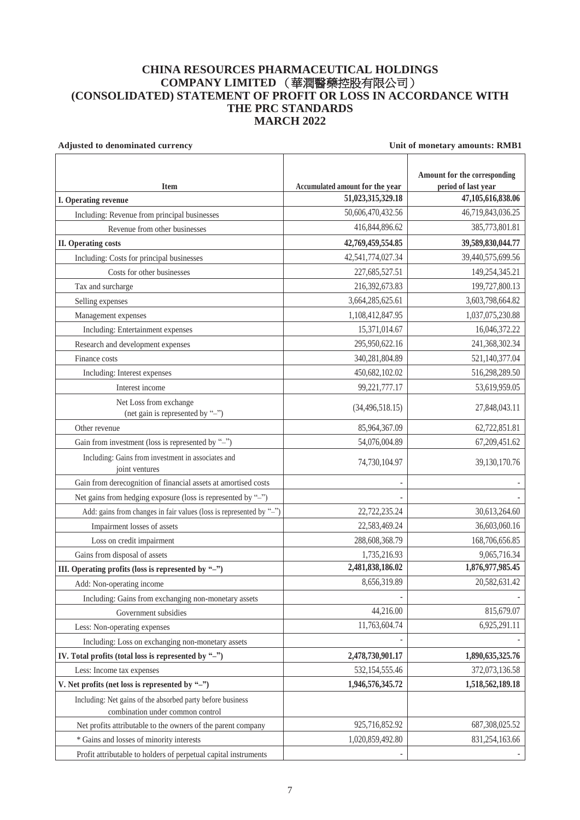## **CHINA RESOURCES PHARMACEUTICAL HOLDINGS COMPANY LIMITED** (華潤醫藥控股有限公司) **(CONSOLIDATED) STATEMENT OF PROFIT OR LOSS IN ACCORDANCE WITH THE PRC STANDARDS MARCH 2022**

| Adjusted to denominated currency                                                               | Unit of monetary amounts: RMB1  |                              |  |
|------------------------------------------------------------------------------------------------|---------------------------------|------------------------------|--|
|                                                                                                |                                 | Amount for the corresponding |  |
| <b>Item</b>                                                                                    | Accumulated amount for the year | period of last year          |  |
| I. Operating revenue                                                                           | 51,023,315,329.18               | 47,105,616,838.06            |  |
| Including: Revenue from principal businesses                                                   | 50,606,470,432.56               | 46,719,843,036.25            |  |
| Revenue from other businesses                                                                  | 416, 844, 896.62                | 385,773,801.81               |  |
| <b>II.</b> Operating costs                                                                     | 42,769,459,554.85               | 39,589,830,044.77            |  |
| Including: Costs for principal businesses                                                      | 42,541,774,027.34               | 39,440,575,699.56            |  |
| Costs for other businesses                                                                     | 227,685,527.51                  | 149,254,345.21               |  |
| Tax and surcharge                                                                              | 216,392,673.83                  | 199,727,800.13               |  |
| Selling expenses                                                                               | 3,664,285,625.61                | 3,603,798,664.82             |  |
| Management expenses                                                                            | 1,108,412,847.95                | 1,037,075,230.88             |  |
| Including: Entertainment expenses                                                              | 15,371,014.67                   | 16,046,372.22                |  |
| Research and development expenses                                                              | 295,950,622.16                  | 241,368,302.34               |  |
| Finance costs                                                                                  | 340,281,804.89                  | 521,140,377.04               |  |
| Including: Interest expenses                                                                   | 450,682,102.02                  | 516,298,289.50               |  |
| Interest income                                                                                | 99,221,777.17                   | 53,619,959.05                |  |
| Net Loss from exchange<br>(net gain is represented by "-")                                     | (34, 496, 518.15)               | 27,848,043.11                |  |
| Other revenue                                                                                  | 85,964,367.09                   | 62,722,851.81                |  |
| Gain from investment (loss is represented by "-")                                              | 54,076,004.89                   | 67,209,451.62                |  |
| Including: Gains from investment in associates and<br>joint ventures                           | 74,730,104.97                   | 39,130,170.76                |  |
| Gain from derecognition of financial assets at amortised costs                                 |                                 |                              |  |
| Net gains from hedging exposure (loss is represented by "-")                                   |                                 |                              |  |
| Add: gains from changes in fair values (loss is represented by "-")                            | 22,722,235.24                   | 30,613,264.60                |  |
| Impairment losses of assets                                                                    | 22,583,469.24                   | 36,603,060.16                |  |
| Loss on credit impairment                                                                      | 288,608,368.79                  | 168,706,656.85               |  |
| Gains from disposal of assets                                                                  | 1,735,216.93                    | 9,065,716.34                 |  |
| III. Operating profits (loss is represented by "-")                                            | 2,481,838,186.02                | 1,876,977,985.45             |  |
| Add: Non-operating income                                                                      | 8,656,319.89                    | 20,582,631.42                |  |
| Including: Gains from exchanging non-monetary assets                                           |                                 |                              |  |
| Government subsidies                                                                           | 44,216.00                       | 815,679.07                   |  |
| Less: Non-operating expenses                                                                   | 11,763,604.74                   | 6,925,291.11                 |  |
| Including: Loss on exchanging non-monetary assets                                              |                                 |                              |  |
| IV. Total profits (total loss is represented by "-")                                           | 2,478,730,901.17                | 1,890,635,325.76             |  |
| Less: Income tax expenses                                                                      | 532, 154, 555.46                | 372,073,136.58               |  |
| V. Net profits (net loss is represented by " $-$ ")                                            | 1,946,576,345.72                | 1,518,562,189.18             |  |
| Including: Net gains of the absorbed party before business<br>combination under common control |                                 |                              |  |
| Net profits attributable to the owners of the parent company                                   | 925,716,852.92                  | 687,308,025.52               |  |
| * Gains and losses of minority interests                                                       | 1,020,859,492.80                | 831,254,163.66               |  |
| Profit attributable to holders of perpetual capital instruments                                |                                 |                              |  |